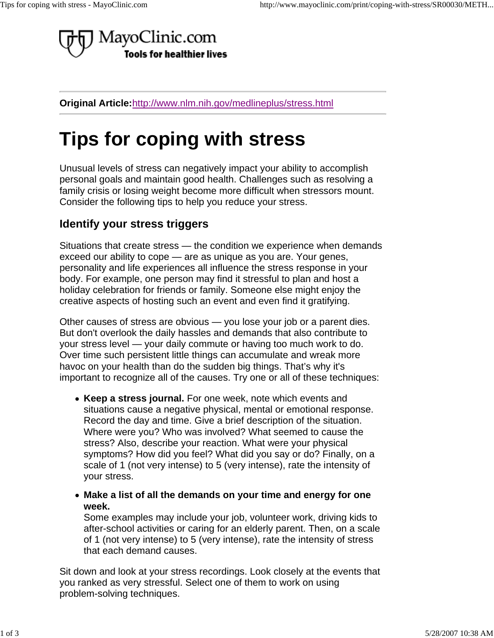

**Original Article:**http://www.nlm.nih.gov/medlineplus/stress.html

## **Tips for coping with stress**

Unusual levels of stress can negatively impact your ability to accomplish personal goals and maintain good health. Challenges such as resolving a family crisis or losing weight become more difficult when stressors mount. Consider the following tips to help you reduce your stress.

## **Identify your stress triggers**

Situations that create stress — the condition we experience when demands exceed our ability to cope — are as unique as you are. Your genes, personality and life experiences all influence the stress response in your body. For example, one person may find it stressful to plan and host a holiday celebration for friends or family. Someone else might enjoy the creative aspects of hosting such an event and even find it gratifying.

Other causes of stress are obvious — you lose your job or a parent dies. But don't overlook the daily hassles and demands that also contribute to your stress level — your daily commute or having too much work to do. Over time such persistent little things can accumulate and wreak more havoc on your health than do the sudden big things. That's why it's important to recognize all of the causes. Try one or all of these techniques:

- **Keep a stress journal.** For one week, note which events and situations cause a negative physical, mental or emotional response. Record the day and time. Give a brief description of the situation. Where were you? Who was involved? What seemed to cause the stress? Also, describe your reaction. What were your physical symptoms? How did you feel? What did you say or do? Finally, on a scale of 1 (not very intense) to 5 (very intense), rate the intensity of your stress.
- **Make a list of all the demands on your time and energy for one week.**

Some examples may include your job, volunteer work, driving kids to after-school activities or caring for an elderly parent. Then, on a scale of 1 (not very intense) to 5 (very intense), rate the intensity of stress that each demand causes.

Sit down and look at your stress recordings. Look closely at the events that you ranked as very stressful. Select one of them to work on using problem-solving techniques.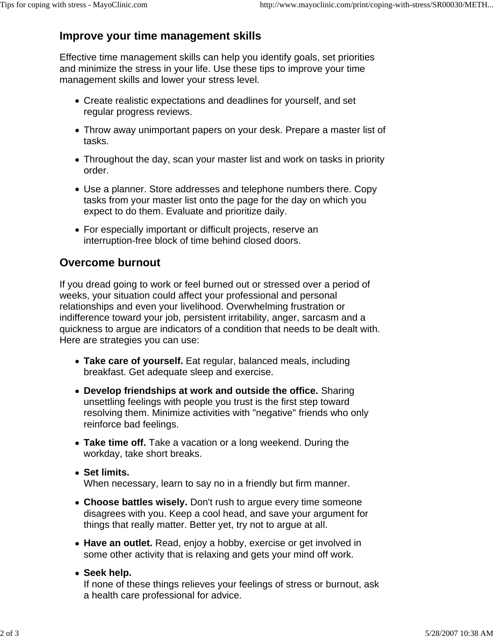## **Improve your time management skills**

Effective time management skills can help you identify goals, set priorities and minimize the stress in your life. Use these tips to improve your time management skills and lower your stress level.

- Create realistic expectations and deadlines for yourself, and set regular progress reviews.
- Throw away unimportant papers on your desk. Prepare a master list of tasks.
- Throughout the day, scan your master list and work on tasks in priority order.
- Use a planner. Store addresses and telephone numbers there. Copy tasks from your master list onto the page for the day on which you expect to do them. Evaluate and prioritize daily.
- For especially important or difficult projects, reserve an interruption-free block of time behind closed doors.

## **Overcome burnout**

If you dread going to work or feel burned out or stressed over a period of weeks, your situation could affect your professional and personal relationships and even your livelihood. Overwhelming frustration or indifference toward your job, persistent irritability, anger, sarcasm and a quickness to argue are indicators of a condition that needs to be dealt with. Here are strategies you can use:

- **Take care of yourself.** Eat regular, balanced meals, including breakfast. Get adequate sleep and exercise.
- **Develop friendships at work and outside the office.** Sharing unsettling feelings with people you trust is the first step toward resolving them. Minimize activities with "negative" friends who only reinforce bad feelings.
- **Take time off.** Take a vacation or a long weekend. During the workday, take short breaks.
- **Set limits.** When necessary, learn to say no in a friendly but firm manner.
- **Choose battles wisely.** Don't rush to argue every time someone disagrees with you. Keep a cool head, and save your argument for things that really matter. Better yet, try not to argue at all.
- **Have an outlet.** Read, enjoy a hobby, exercise or get involved in some other activity that is relaxing and gets your mind off work.
- **Seek help.**

If none of these things relieves your feelings of stress or burnout, ask a health care professional for advice.